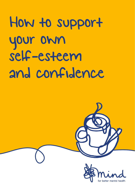## How to support your own self-esteem and confidence

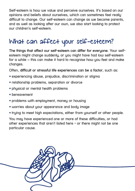Self-esteem is how we value and perceive ourselves. It's based on our opinions and beliefs about ourselves, which can sometimes feel really difficult to change. Our self-esteem can change as we become parents, and as well as looking after our own, we also start looking to protect our children's self-esteem.

## What can affect your self-esteem?

**The things that affect our self-esteem can differ for everyone.** Your selfesteem might change suddenly, or you might have had low self-esteem for a while – this can make it hard to recognise how you feel and make changes.

Often, **difficult or stressful life experiences can be a factor**, such as:

- experiencing abuse, prejudice, discrimination or stigma
- relationship problems, separation or divorce
- physical or mental health problems
- bereavement
- problems with employment, money or housing
- worries about your appearance and body image
- truing to meet high expectations, either from yourself or other people.

You may have experienced one or more of these difficulties, or had other experiences that aren't listed here - or there might not be one particular cause.

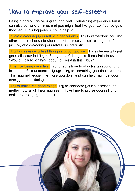## How to improve your self-esteem

Being a parent can be a great and really rewarding experience but it can also be hard at times and you might feel like your confidence gets knocked. If this happens, it could help to:

 Avoid comparing yourself to other parents Try to remember that what other people choose to share about themselves isn't always the full picture, and comparing ourselves is unrealistic.

Tru to challenge unkind thoughts about yourself It can be easy to put yourself down but if you find yourself doing this, it can help to ask: "Would I talk to, or think about, a friend in this way?".

 Practice being assertive Try to learn how to stop for a second, and breathe before automatically agreeing to something you don't want to. This may get easier the more you do it, and can help maintain your energy and wellbeing.

 Try to notice the good things Try to celebrate your successes, no matter how small they may seem. Take time to praise yourself and notice the things you do well.